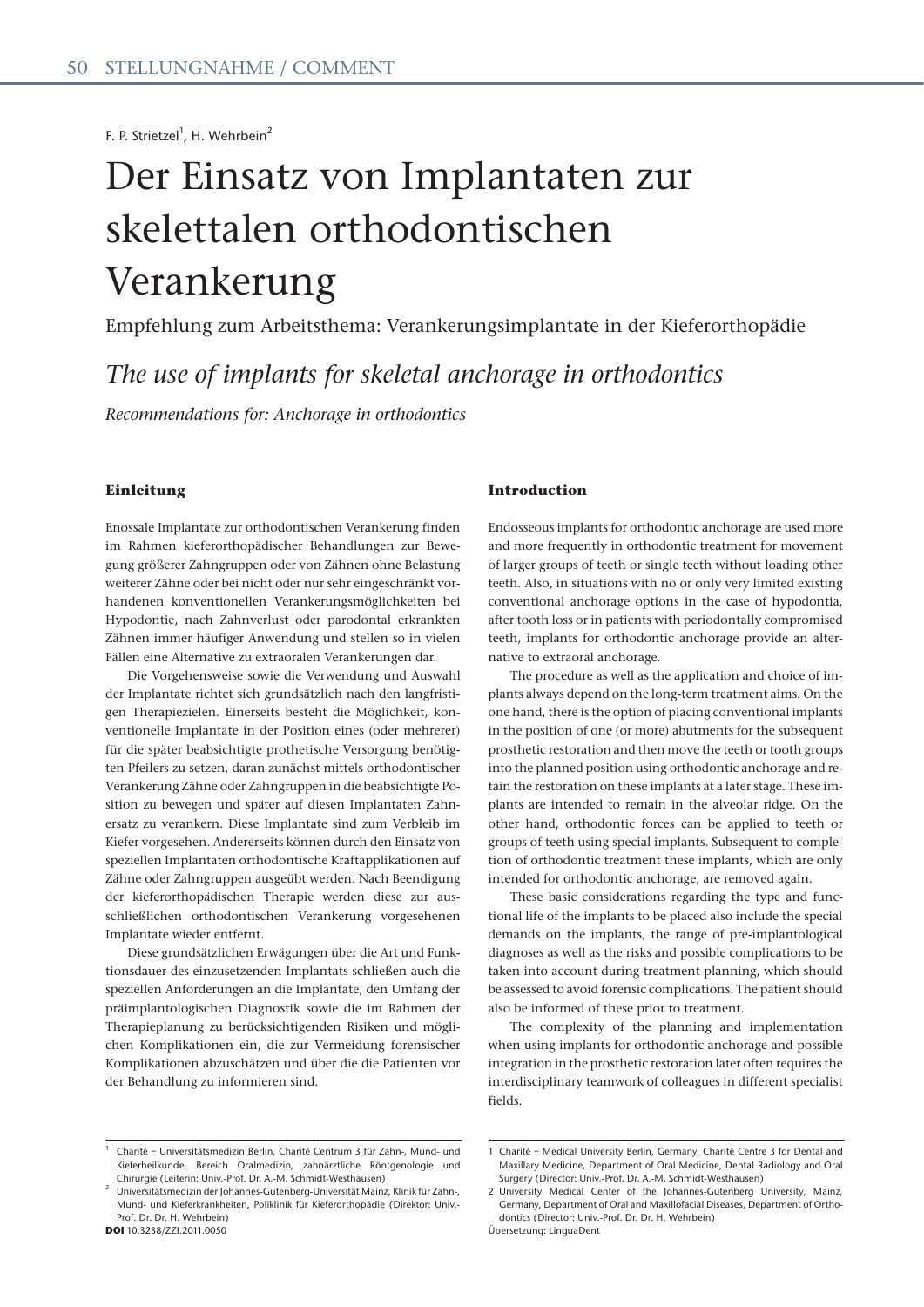F. P. Strietzel<sup>1</sup>, H. Wehrbein<sup>2</sup>

# Der Einsatz von Implantaten zur skelettalen orthodontischen Verankerung

Empfehlung zum Arbeitsthema: Verankerungsimplantate in der Kieferorthopädie

*The use of implants for skeletal anchorage in orthodontics* 

*Recommendations for: Anchorage in orthodontics*

## **Einleitung**

Enossale Implantate zur orthodontischen Verankerung finden im Rahmen kieferorthopädischer Behandlungen zur Bewegung größerer Zahngruppen oder von Zähnen ohne Belastung weiterer Zähne oder bei nicht oder nur sehr eingeschränkt vorhandenen konventionellen Verankerungsmöglichkeiten bei Hypodontie, nach Zahnverlust oder parodontal erkrankten Zähnen immer häufiger Anwendung und stellen so in vielen Fällen eine Alternative zu extraoralen Verankerungen dar.

Die Vorgehensweise sowie die Verwendung und Auswahl der Implantate richtet sich grundsätzlich nach den langfristigen Therapiezielen. Einerseits besteht die Möglichkeit, konventionelle Implantate in der Position eines (oder mehrerer) für die später beabsichtigte prothetische Versorgung benötigten Pfeilers zu setzen, daran zunächst mittels orthodontischer Verankerung Zähne oder Zahngruppen in die beabsichtigte Position zu bewegen und später auf diesen Implantaten Zahnersatz zu verankern. Diese Implantate sind zum Verbleib im Kiefer vorgesehen. Andererseits können durch den Einsatz von speziellen Implantaten orthodontische Kraftapplikationen auf Zähne oder Zahngruppen ausgeübt werden. Nach Beendigung der kieferorthopädischen Therapie werden diese zur ausschließlichen orthodontischen Verankerung vorgesehenen Implantate wieder entfernt.

Diese grundsätzlichen Erwägungen über die Art und Funktionsdauer des einzusetzenden Implantats schließen auch die speziellen Anforderungen an die Implantate, den Umfang der präimplantologischen Diagnostik sowie die im Rahmen der Therapieplanung zu berücksichtigenden Risiken und möglichen Komplikationen ein, die zur Vermeidung forensischer Komplikationen abzuschätzen und über die die Patienten vor der Behandlung zu informieren sind.

#### 1 Charité – Universitätsmedizin Berlin, Charité Centrum 3 für Zahn-, Mund- und Kieferheilkunde, Bereich Oralmedizin, zahnärztliche Röntgenologie und Chirurgie (Leiterin: Univ.-Prof. Dr. A.-M. Schmidt-Westhausen) 2

#### **DOI** 10.3238/ZZI.2011.0050

#### **Introduction**

Endosseous implants for orthodontic anchorage are used more and more frequently in orthodontic treatment for movement of larger groups of teeth or single teeth without loading other teeth. Also, in situations with no or only very limited existing conventional anchorage options in the case of hypodontia, after tooth loss or in patients with periodontally compromised teeth, implants for orthodontic anchorage provide an alternative to extraoral anchorage.

The procedure as well as the application and choice of implants always depend on the long-term treatment aims. On the one hand, there is the option of placing conventional implants in the position of one (or more) abutments for the subsequent prosthetic restoration and then move the teeth or tooth groups into the planned position using orthodontic anchorage and retain the restoration on these implants at a later stage. These implants are intended to remain in the alveolar ridge. On the other hand, orthodontic forces can be applied to teeth or groups of teeth using special implants. Subsequent to completion of orthodontic treatment these implants, which are only intended for orthodontic anchorage, are removed again.

These basic considerations regarding the type and functional life of the implants to be placed also include the special demands on the implants, the range of pre-implantological diagnoses as well as the risks and possible complications to be taken into account during treatment planning, which should be assessed to avoid forensic complications. The patient should also be informed of these prior to treatment.

The complexity of the planning and implementation when using implants for orthodontic anchorage and possible integration in the prosthetic restoration later often requires the interdisciplinary teamwork of colleagues in different specialist fields.

Übersetzung: LinguaDent

Universitätsmedizin der Johannes-Gutenberg-Universität Mainz, Klinik für Zahn-, Mund- und Kieferkrankheiten, Poliklinik für Kieferorthopädie (Direktor: Univ.- Prof. Dr. Dr. H. Wehrbein)

<sup>1</sup> Charité – Medical University Berlin, Germany, Charité Centre 3 for Dental and Maxillary Medicine, Department of Oral Medicine, Dental Radiology and Oral Surgery (Director: Univ.-Prof. Dr. A.-M. Schmidt-Westhausen)

<sup>2</sup> University Medical Center of the Johannes-Gutenberg University, Mainz, Germany, Department of Oral and Maxillofacial Diseases, Department of Orthodontics (Director: Univ.-Prof. Dr. Dr. H. Wehrbein)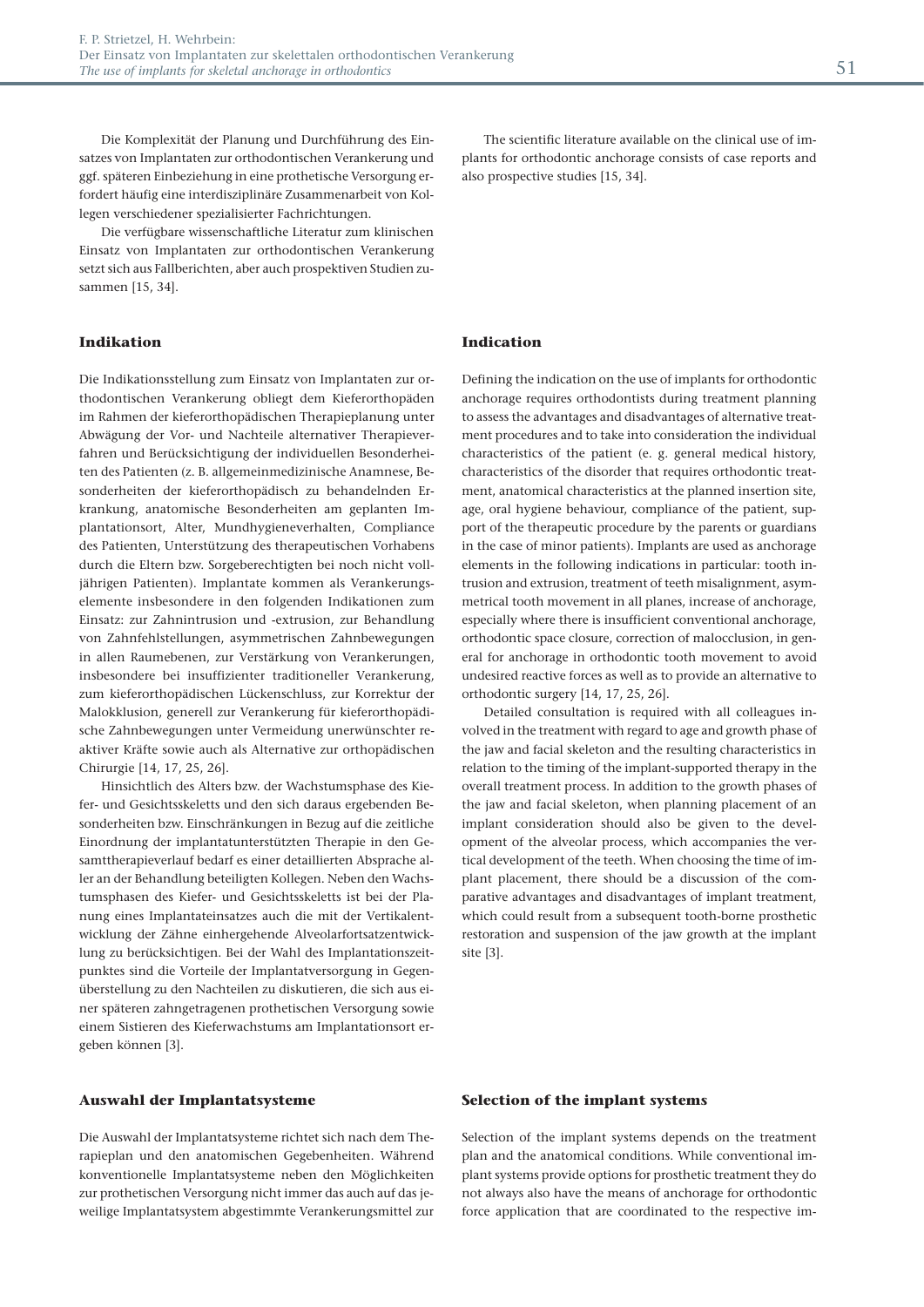Die Komplexität der Planung und Durchführung des Einsatzes von Implantaten zur orthodontischen Verankerung und ggf. späteren Einbeziehung in eine prothetische Versorgung erfordert häufig eine interdisziplinäre Zusammenarbeit von Kollegen verschiedener spezialisierter Fachrichtungen.

Die verfügbare wissenschaftliche Literatur zum klinischen Einsatz von Implantaten zur orthodontischen Verankerung setzt sich aus Fallberichten, aber auch prospektiven Studien zusammen [15, 34].

## **Indikation**

Die Indikationsstellung zum Einsatz von Implantaten zur orthodontischen Verankerung obliegt dem Kieferorthopäden im Rahmen der kieferorthopädischen Therapieplanung unter Abwägung der Vor- und Nachteile alternativer Therapieverfahren und Berücksichtigung der individuellen Besonderheiten des Patienten (z. B. allgemeinmedizinische Anamnese, Besonderheiten der kieferorthopädisch zu behandelnden Erkrankung, anatomische Besonderheiten am geplanten Implantationsort, Alter, Mundhygieneverhalten, Compliance des Patienten, Unterstützung des therapeutischen Vorhabens durch die Eltern bzw. Sorgeberechtigten bei noch nicht volljährigen Patienten). Implantate kommen als Verankerungselemente insbesondere in den folgenden Indikationen zum Einsatz: zur Zahnintrusion und -extrusion, zur Behandlung von Zahnfehlstellungen, asymmetrischen Zahnbewegungen in allen Raumebenen, zur Verstärkung von Verankerungen, insbesondere bei insuffizienter traditioneller Verankerung, zum kieferorthopädischen Lückenschluss, zur Korrektur der Malokklusion, generell zur Verankerung für kieferorthopädische Zahnbewegungen unter Vermeidung unerwünschter reaktiver Kräfte sowie auch als Alternative zur orthopädischen Chirurgie [14, 17, 25, 26].

Hinsichtlich des Alters bzw. der Wachstumsphase des Kiefer- und Gesichtsskeletts und den sich daraus ergebenden Besonderheiten bzw. Einschränkungen in Bezug auf die zeitliche Einordnung der implantatunterstützten Therapie in den Gesamttherapieverlauf bedarf es einer detaillierten Absprache aller an der Behandlung beteiligten Kollegen. Neben den Wachstumsphasen des Kiefer- und Gesichtsskeletts ist bei der Planung eines Implantateinsatzes auch die mit der Vertikalentwicklung der Zähne einhergehende Alveolarfortsatzentwicklung zu berücksichtigen. Bei der Wahl des Implantationszeitpunktes sind die Vorteile der Implantatversorgung in Gegenüberstellung zu den Nachteilen zu diskutieren, die sich aus einer späteren zahngetragenen prothetischen Versorgung sowie einem Sistieren des Kieferwachstums am Implantationsort ergeben können [3].

#### **Auswahl der Implantatsysteme**

Die Auswahl der Implantatsysteme richtet sich nach dem Therapieplan und den anatomischen Gegebenheiten. Während konventionelle Implantatsysteme neben den Möglichkeiten zur prothetischen Versorgung nicht immer das auch auf das jeweilige Implantatsystem abgestimmte Verankerungsmittel zur

The scientific literature available on the clinical use of implants for orthodontic anchorage consists of case reports and also prospective studies [15, 34].

#### **Indication**

Defining the indication on the use of implants for orthodontic anchorage requires orthodontists during treatment planning to assess the advantages and disadvantages of alternative treatment procedures and to take into consideration the individual characteristics of the patient (e. g. general medical history, characteristics of the disorder that requires orthodontic treatment, anatomical characteristics at the planned insertion site, age, oral hygiene behaviour, compliance of the patient, support of the therapeutic procedure by the parents or guardians in the case of minor patients). Implants are used as anchorage elements in the following indications in particular: tooth intrusion and extrusion, treatment of teeth misalignment, asymmetrical tooth movement in all planes, increase of anchorage, especially where there is insufficient conventional anchorage, orthodontic space closure, correction of malocclusion, in general for anchorage in orthodontic tooth movement to avoid undesired reactive forces as well as to provide an alternative to orthodontic surgery [14, 17, 25, 26].

Detailed consultation is required with all colleagues involved in the treatment with regard to age and growth phase of the jaw and facial skeleton and the resulting characteristics in relation to the timing of the implant-supported therapy in the overall treatment process. In addition to the growth phases of the jaw and facial skeleton, when planning placement of an implant consideration should also be given to the development of the alveolar process, which accompanies the vertical development of the teeth. When choosing the time of implant placement, there should be a discussion of the comparative advantages and disadvantages of implant treatment, which could result from a subsequent tooth-borne prosthetic restoration and suspension of the jaw growth at the implant site [3].

#### **Selection of the implant systems**

Selection of the implant systems depends on the treatment plan and the anatomical conditions. While conventional implant systems provide options for prosthetic treatment they do not always also have the means of anchorage for orthodontic force application that are coordinated to the respective im-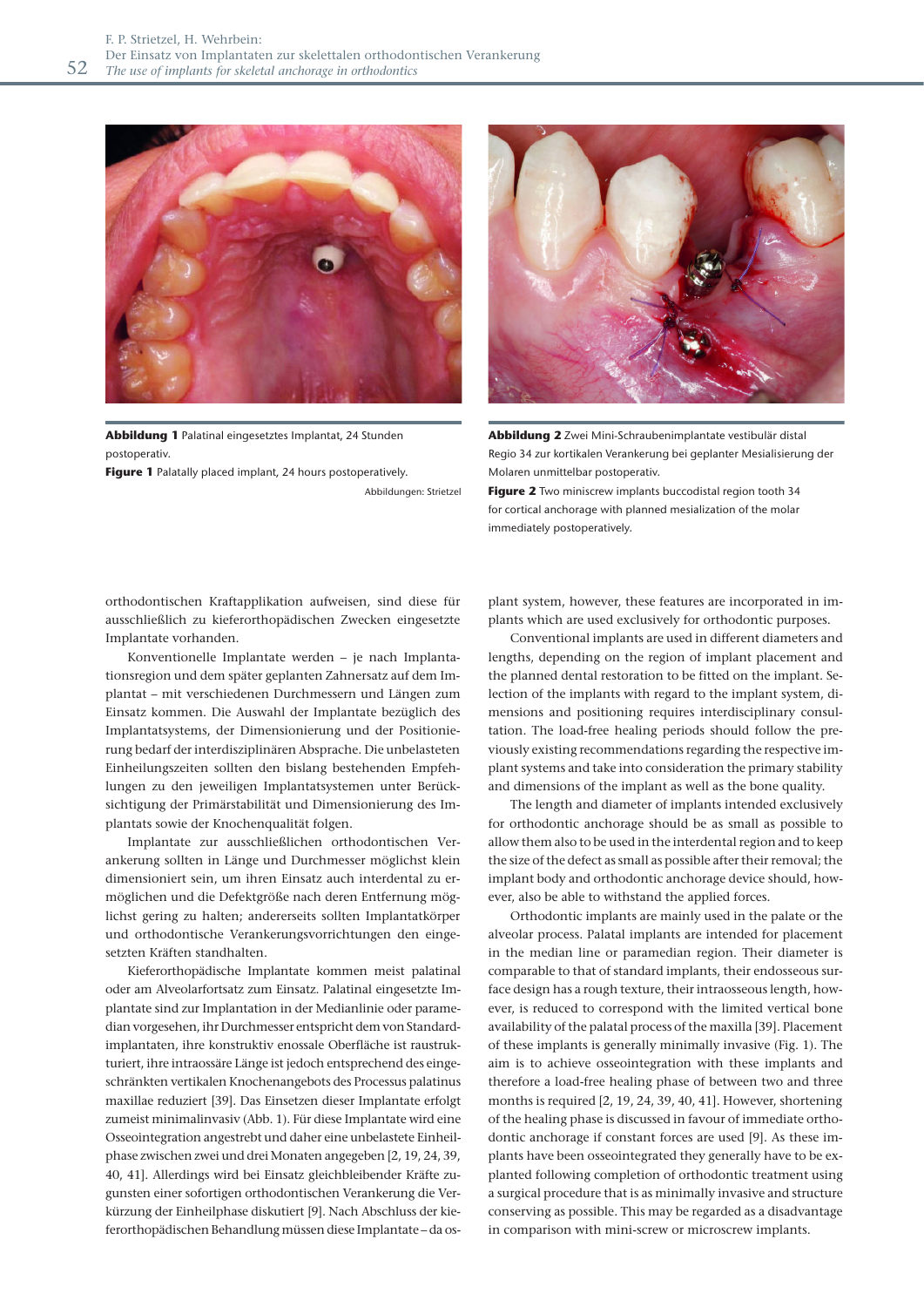

**Abbildung 1** Palatinal eingesetztes Implantat, 24 Stunden postoperativ.

**Figure 1** Palatally placed implant, 24 hours postoperatively.

Abbildungen: Strietzel



**Abbildung 2** Zwei Mini-Schraubenimplantate vestibulär distal Regio 34 zur kortikalen Verankerung bei geplanter Mesialisierung der Molaren unmittelbar postoperativ.

**Figure 2** Two miniscrew implants buccodistal region tooth 34 for cortical anchorage with planned mesialization of the molar immediately postoperatively.

orthodontischen Kraftapplikation aufweisen, sind diese für ausschließlich zu kieferorthopädischen Zwecken eingesetzte Implantate vorhanden.

Konventionelle Implantate werden – je nach Implantationsregion und dem später geplanten Zahnersatz auf dem Implantat – mit verschiedenen Durchmessern und Längen zum Einsatz kommen. Die Auswahl der Implantate bezüglich des Implantatsystems, der Dimensionierung und der Positionierung bedarf der interdisziplinären Absprache. Die unbelasteten Einheilungszeiten sollten den bislang bestehenden Empfehlungen zu den jeweiligen Implantatsystemen unter Berücksichtigung der Primärstabilität und Dimensionierung des Implantats sowie der Knochenqualität folgen.

Implantate zur ausschließlichen orthodontischen Verankerung sollten in Länge und Durchmesser möglichst klein dimensioniert sein, um ihren Einsatz auch interdental zu ermöglichen und die Defektgröße nach deren Entfernung möglichst gering zu halten; andererseits sollten Implantatkörper und orthodontische Verankerungsvorrichtungen den eingesetzten Kräften standhalten.

Kieferorthopädische Implantate kommen meist palatinal oder am Alveolarfortsatz zum Einsatz. Palatinal eingesetzte Implantate sind zur Implantation in der Medianlinie oder paramedian vorgesehen, ihr Durchmesser entspricht dem von Standardimplantaten, ihre konstruktiv enossale Oberfläche ist raustrukturiert, ihre intraossäre Länge ist jedoch entsprechend des eingeschränkten vertikalen Knochenangebots des Processus palatinus maxillae reduziert [39]. Das Einsetzen dieser Implantate erfolgt zumeist minimalinvasiv (Abb. 1). Für diese Implantate wird eine Osseointegration angestrebt und daher eine unbelastete Einheilphase zwischen zwei und drei Monaten angegeben [2, 19, 24, 39, 40, 41]. Allerdings wird bei Einsatz gleichbleibender Kräfte zugunsten einer sofortigen orthodontischen Verankerung die Verkürzung der Einheilphase diskutiert [9]. Nach Abschluss der kieferorthopädischen Behandlung müssen diese Implantate – da osplant system, however, these features are incorporated in implants which are used exclusively for orthodontic purposes.

Conventional implants are used in different diameters and lengths, depending on the region of implant placement and the planned dental restoration to be fitted on the implant. Selection of the implants with regard to the implant system, dimensions and positioning requires interdisciplinary consultation. The load-free healing periods should follow the previously existing recommendations regarding the respective implant systems and take into consideration the primary stability and dimensions of the implant as well as the bone quality.

The length and diameter of implants intended exclusively for orthodontic anchorage should be as small as possible to allow them also to be used in the interdental region and to keep the size of the defect as small as possible after their removal; the implant body and orthodontic anchorage device should, however, also be able to withstand the applied forces.

Orthodontic implants are mainly used in the palate or the alveolar process. Palatal implants are intended for placement in the median line or paramedian region. Their diameter is comparable to that of standard implants, their endosseous surface design has a rough texture, their intraosseous length, however, is reduced to correspond with the limited vertical bone availability of the palatal process of the maxilla [39]. Placement of these implants is generally minimally invasive (Fig. 1). The aim is to achieve osseointegration with these implants and therefore a load-free healing phase of between two and three months is required [2, 19, 24, 39, 40, 41]. However, shortening of the healing phase is discussed in favour of immediate orthodontic anchorage if constant forces are used [9]. As these implants have been osseointegrated they generally have to be explanted following completion of orthodontic treatment using a surgical procedure that is as minimally invasive and structure conserving as possible. This may be regarded as a disadvantage in comparison with mini-screw or microscrew implants.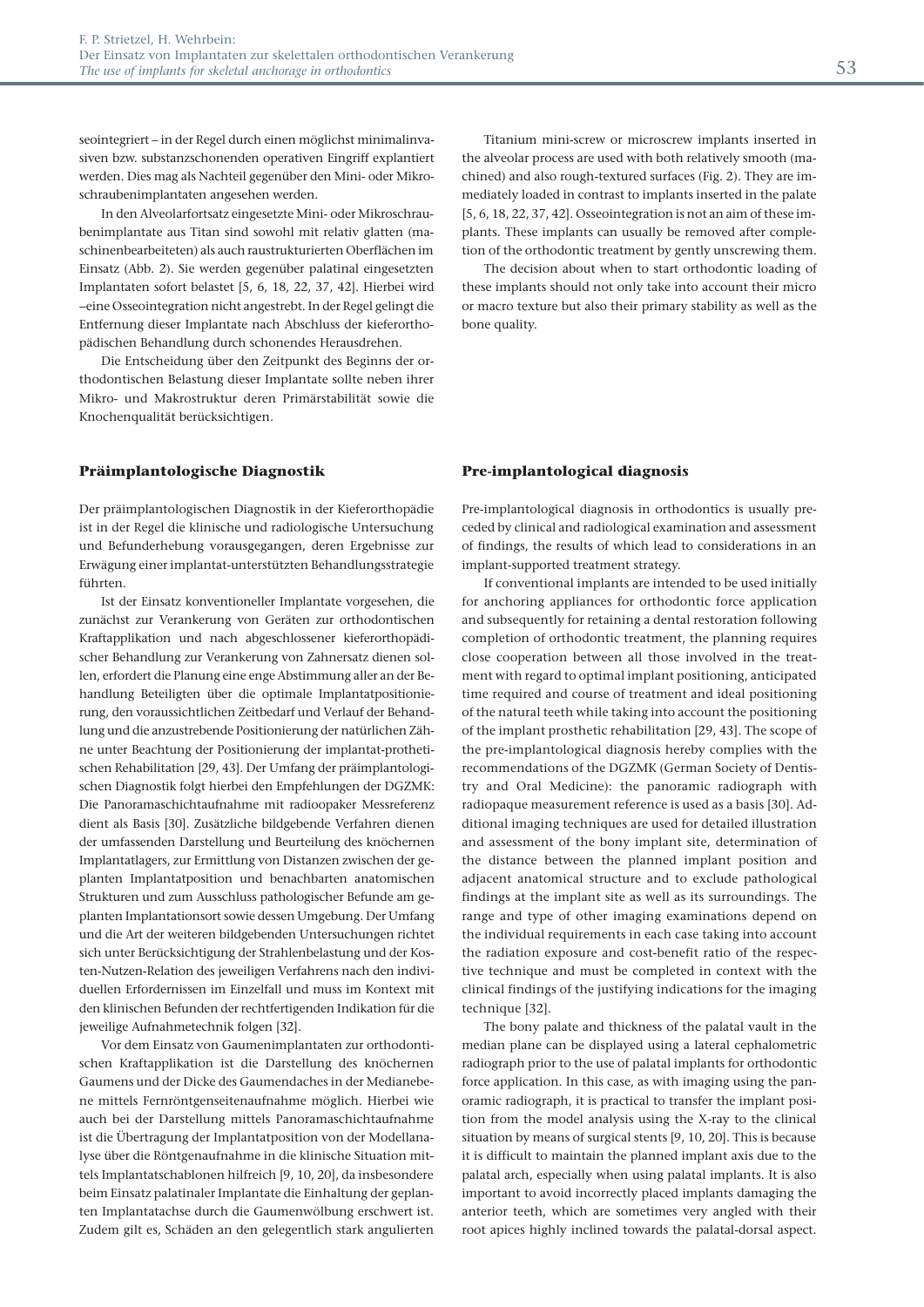seointegriert – in der Regel durch einen möglichst minimalinvasiven bzw. substanzschonenden operativen Eingriff explantiert werden. Dies mag als Nachteil gegenüber den Mini- oder Mikroschraubenimplantaten angesehen werden.

In den Alveolarfortsatz eingesetzte Mini- oder Mikroschraubenimplantate aus Titan sind sowohl mit relativ glatten (maschinenbearbeiteten) als auch raustrukturierten Oberflächen im Einsatz (Abb. 2). Sie werden gegenüber palatinal eingesetzten Implantaten sofort belastet [5, 6, 18, 22, 37, 42]. Hierbei wird −eine Osseointegration nicht angestrebt. In der Regel gelingt die Entfernung dieser Implantate nach Abschluss der kieferorthopädischen Behandlung durch schonendes Herausdrehen.

Die Entscheidung über den Zeitpunkt des Beginns der orthodontischen Belastung dieser Implantate sollte neben ihrer Mikro- und Makrostruktur deren Primärstabilität sowie die Knochenqualität berücksichtigen.

#### **Präimplantologische Diagnostik**

Der präimplantologischen Diagnostik in der Kieferorthopädie ist in der Regel die klinische und radiologische Untersuchung und Befunderhebung vorausgegangen, deren Ergebnisse zur Erwägung einer implantat-unterstützten Behandlungsstrategie führten.

Ist der Einsatz konventioneller Implantate vorgesehen, die zunächst zur Verankerung von Geräten zur orthodontischen Kraftapplikation und nach abgeschlossener kieferorthopädischer Behandlung zur Verankerung von Zahnersatz dienen sollen, erfordert die Planung eine enge Abstimmung aller an der Behandlung Beteiligten über die optimale Implantatpositionierung, den voraussichtlichen Zeitbedarf und Verlauf der Behandlung und die anzustrebende Positionierung der natürlichen Zähne unter Beachtung der Positionierung der implantat-prothetischen Rehabilitation [29, 43]. Der Umfang der präimplantologischen Diagnostik folgt hierbei den Empfehlungen der DGZMK: Die Panoramaschichtaufnahme mit radioopaker Messreferenz dient als Basis [30]. Zusätzliche bildgebende Verfahren dienen der umfassenden Darstellung und Beurteilung des knöchernen Implantatlagers, zur Ermittlung von Distanzen zwischen der geplanten Implantatposition und benachbarten anatomischen Strukturen und zum Ausschluss pathologischer Befunde am geplanten Implantationsort sowie dessen Umgebung. Der Umfang und die Art der weiteren bildgebenden Untersuchungen richtet sich unter Berücksichtigung der Strahlenbelastung und der Kosten-Nutzen-Relation des jeweiligen Verfahrens nach den individuellen Erfordernissen im Einzelfall und muss im Kontext mit den klinischen Befunden der rechtfertigenden Indikation für die jeweilige Aufnahmetechnik folgen [32].

Vor dem Einsatz von Gaumenimplantaten zur orthodontischen Kraftapplikation ist die Darstellung des knöchernen Gaumens und der Dicke des Gaumendaches in der Medianebene mittels Fernröntgenseitenaufnahme möglich. Hierbei wie auch bei der Darstellung mittels Panoramaschichtaufnahme ist die Übertragung der Implantatposition von der Modellanalyse über die Röntgenaufnahme in die klinische Situation mittels Implantatschablonen hilfreich [9, 10, 20], da insbesondere beim Einsatz palatinaler Implantate die Einhaltung der geplanten Implantatachse durch die Gaumenwölbung erschwert ist. Zudem gilt es, Schäden an den gelegentlich stark angulierten

Titanium mini-screw or microscrew implants inserted in the alveolar process are used with both relatively smooth (machined) and also rough-textured surfaces (Fig. 2). They are immediately loaded in contrast to implants inserted in the palate [5, 6, 18, 22, 37, 42]. Osseointegration is not an aim of these implants. These implants can usually be removed after completion of the orthodontic treatment by gently unscrewing them.

The decision about when to start orthodontic loading of these implants should not only take into account their micro or macro texture but also their primary stability as well as the bone quality.

#### **Pre-implantological diagnosis**

Pre-implantological diagnosis in orthodontics is usually preceded by clinical and radiological examination and assessment of findings, the results of which lead to considerations in an implant-supported treatment strategy.

If conventional implants are intended to be used initially for anchoring appliances for orthodontic force application and subsequently for retaining a dental restoration following completion of orthodontic treatment, the planning requires close cooperation between all those involved in the treatment with regard to optimal implant positioning, anticipated time required and course of treatment and ideal positioning of the natural teeth while taking into account the positioning of the implant prosthetic rehabilitation [29, 43]. The scope of the pre-implantological diagnosis hereby complies with the recommendations of the DGZMK (German Society of Dentistry and Oral Medicine): the panoramic radiograph with radiopaque measurement reference is used as a basis [30]. Additional imaging techniques are used for detailed illustration and assessment of the bony implant site, determination of the distance between the planned implant position and adjacent anatomical structure and to exclude pathological findings at the implant site as well as its surroundings. The range and type of other imaging examinations depend on the individual requirements in each case taking into account the radiation exposure and cost-benefit ratio of the respective technique and must be completed in context with the clinical findings of the justifying indications for the imaging technique [32].

The bony palate and thickness of the palatal vault in the median plane can be displayed using a lateral cephalometric radiograph prior to the use of palatal implants for orthodontic force application. In this case, as with imaging using the panoramic radiograph, it is practical to transfer the implant position from the model analysis using the X-ray to the clinical situation by means of surgical stents [9, 10, 20]. This is because it is difficult to maintain the planned implant axis due to the palatal arch, especially when using palatal implants. It is also important to avoid incorrectly placed implants damaging the anterior teeth, which are sometimes very angled with their root apices highly inclined towards the palatal-dorsal aspect.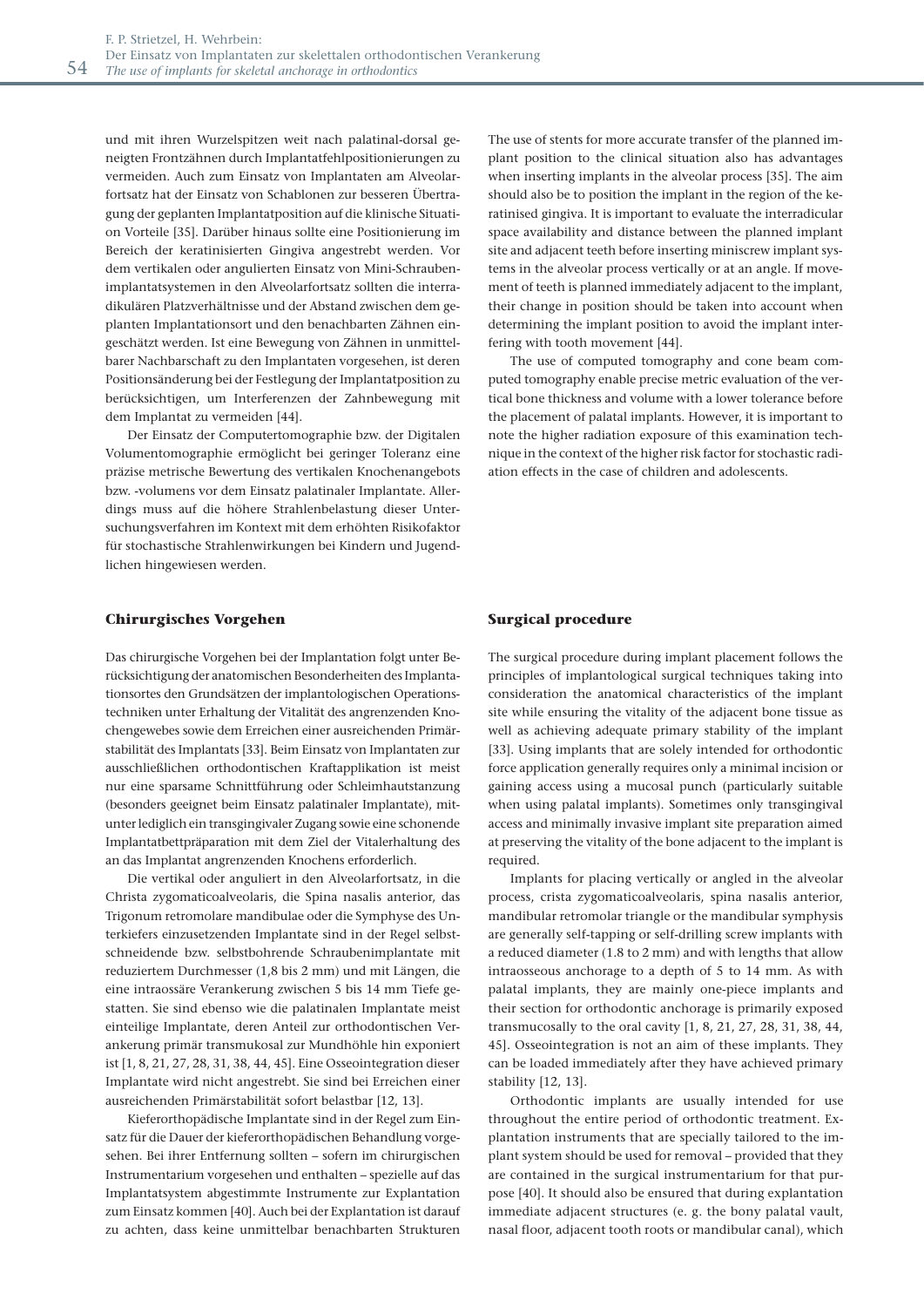und mit ihren Wurzelspitzen weit nach palatinal-dorsal geneigten Frontzähnen durch Implantatfehlpositionierungen zu vermeiden. Auch zum Einsatz von Implantaten am Alveolarfortsatz hat der Einsatz von Schablonen zur besseren Übertragung der geplanten Implantatposition auf die klinische Situation Vorteile [35]. Darüber hinaus sollte eine Positionierung im Bereich der keratinisierten Gingiva angestrebt werden. Vor dem vertikalen oder angulierten Einsatz von Mini-Schraubenimplantatsystemen in den Alveolarfortsatz sollten die interradikulären Platzverhältnisse und der Abstand zwischen dem geplanten Implantationsort und den benachbarten Zähnen eingeschätzt werden. Ist eine Bewegung von Zähnen in unmittelbarer Nachbarschaft zu den Implantaten vorgesehen, ist deren Positionsänderung bei der Festlegung der Implantatposition zu berücksichtigen, um Interferenzen der Zahnbewegung mit dem Implantat zu vermeiden [44].

Der Einsatz der Computertomographie bzw. der Digitalen Volumentomographie ermöglicht bei geringer Toleranz eine präzise metrische Bewertung des vertikalen Knochenangebots bzw. -volumens vor dem Einsatz palatinaler Implantate. Allerdings muss auf die höhere Strahlenbelastung dieser Untersuchungsverfahren im Kontext mit dem erhöhten Risikofaktor für stochastische Strahlenwirkungen bei Kindern und Jugendlichen hingewiesen werden.

#### **Chirurgisches Vorgehen**

Das chirurgische Vorgehen bei der Implantation folgt unter Berücksichtigung der anatomischen Besonderheiten des Implantationsortes den Grundsätzen der implantologischen Operationstechniken unter Erhaltung der Vitalität des angrenzenden Knochengewebes sowie dem Erreichen einer ausreichenden Primärstabilität des Implantats [33]. Beim Einsatz von Implantaten zur ausschließlichen orthodontischen Kraftapplikation ist meist nur eine sparsame Schnittführung oder Schleimhautstanzung (besonders geeignet beim Einsatz palatinaler Implantate), mitunter lediglich ein transgingivaler Zugang sowie eine schonende Implantatbettpräparation mit dem Ziel der Vitalerhaltung des an das Implantat angrenzenden Knochens erforderlich.

Die vertikal oder anguliert in den Alveolarfortsatz, in die Christa zygomaticoalveolaris, die Spina nasalis anterior, das Trigonum retromolare mandibulae oder die Symphyse des Unterkiefers einzusetzenden Implantate sind in der Regel selbstschneidende bzw. selbstbohrende Schraubenimplantate mit reduziertem Durchmesser (1,8 bis 2 mm) und mit Längen, die eine intraossäre Verankerung zwischen 5 bis 14 mm Tiefe gestatten. Sie sind ebenso wie die palatinalen Implantate meist einteilige Implantate, deren Anteil zur orthodontischen Verankerung primär transmukosal zur Mundhöhle hin exponiert ist [1, 8, 21, 27, 28, 31, 38, 44, 45]. Eine Osseointegration dieser Implantate wird nicht angestrebt. Sie sind bei Erreichen einer ausreichenden Primärstabilität sofort belastbar [12, 13].

Kieferorthopädische Implantate sind in der Regel zum Einsatz für die Dauer der kieferorthopädischen Behandlung vorgesehen. Bei ihrer Entfernung sollten – sofern im chirurgischen Instrumentarium vorgesehen und enthalten – spezielle auf das Implantatsystem abgestimmte Instrumente zur Explantation zum Einsatz kommen [40]. Auch bei der Explantation ist darauf zu achten, dass keine unmittelbar benachbarten Strukturen The use of stents for more accurate transfer of the planned implant position to the clinical situation also has advantages when inserting implants in the alveolar process [35]. The aim should also be to position the implant in the region of the keratinised gingiva. It is important to evaluate the interradicular space availability and distance between the planned implant site and adjacent teeth before inserting miniscrew implant systems in the alveolar process vertically or at an angle. If movement of teeth is planned immediately adjacent to the implant, their change in position should be taken into account when determining the implant position to avoid the implant interfering with tooth movement [44].

The use of computed tomography and cone beam computed tomography enable precise metric evaluation of the vertical bone thickness and volume with a lower tolerance before the placement of palatal implants. However, it is important to note the higher radiation exposure of this examination technique in the context of the higher risk factor for stochastic radiation effects in the case of children and adolescents.

#### **Surgical procedure**

The surgical procedure during implant placement follows the principles of implantological surgical techniques taking into consideration the anatomical characteristics of the implant site while ensuring the vitality of the adjacent bone tissue as well as achieving adequate primary stability of the implant [33]. Using implants that are solely intended for orthodontic force application generally requires only a minimal incision or gaining access using a mucosal punch (particularly suitable when using palatal implants). Sometimes only transgingival access and minimally invasive implant site preparation aimed at preserving the vitality of the bone adjacent to the implant is required.

Implants for placing vertically or angled in the alveolar process, crista zygomaticoalveolaris, spina nasalis anterior, mandibular retromolar triangle or the mandibular symphysis are generally self-tapping or self-drilling screw implants with a reduced diameter (1.8 to 2 mm) and with lengths that allow intraosseous anchorage to a depth of 5 to 14 mm. As with palatal implants, they are mainly one-piece implants and their section for orthodontic anchorage is primarily exposed transmucosally to the oral cavity [1, 8, 21, 27, 28, 31, 38, 44, 45]. Osseointegration is not an aim of these implants. They can be loaded immediately after they have achieved primary stability [12, 13].

Orthodontic implants are usually intended for use throughout the entire period of orthodontic treatment. Explantation instruments that are specially tailored to the implant system should be used for removal – provided that they are contained in the surgical instrumentarium for that purpose [40]. It should also be ensured that during explantation immediate adjacent structures (e. g. the bony palatal vault, nasal floor, adjacent tooth roots or mandibular canal), which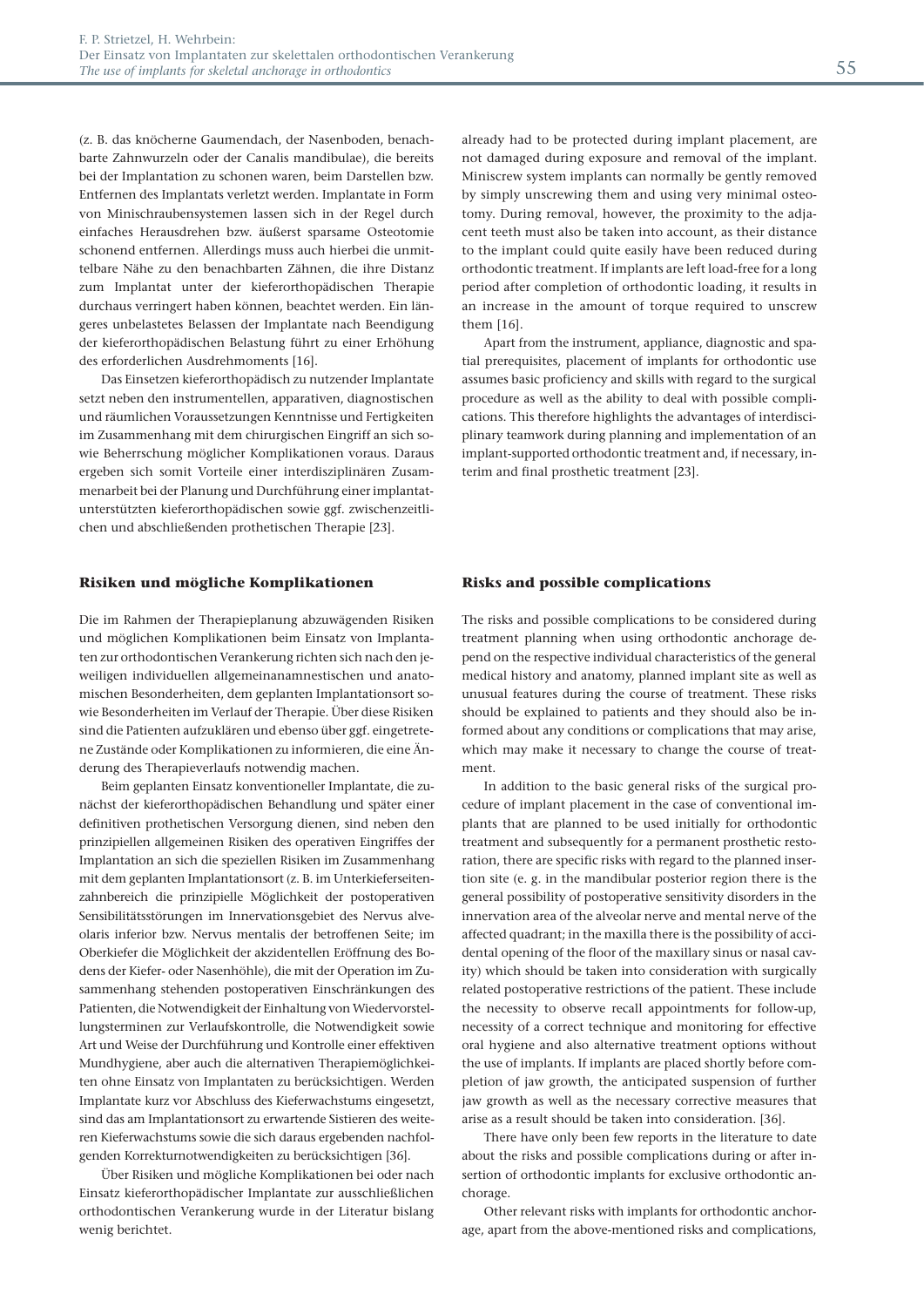(z. B. das knöcherne Gaumendach, der Nasenboden, benachbarte Zahnwurzeln oder der Canalis mandibulae), die bereits bei der Implantation zu schonen waren, beim Darstellen bzw. Entfernen des Implantats verletzt werden. Implantate in Form von Minischraubensystemen lassen sich in der Regel durch einfaches Herausdrehen bzw. äußerst sparsame Osteotomie schonend entfernen. Allerdings muss auch hierbei die unmittelbare Nähe zu den benachbarten Zähnen, die ihre Distanz zum Implantat unter der kieferorthopädischen Therapie durchaus verringert haben können, beachtet werden. Ein längeres unbelastetes Belassen der Implantate nach Beendigung der kieferorthopädischen Belastung führt zu einer Erhöhung des erforderlichen Ausdrehmoments [16].

Das Einsetzen kieferorthopädisch zu nutzender Implantate setzt neben den instrumentellen, apparativen, diagnostischen und räumlichen Voraussetzungen Kenntnisse und Fertigkeiten im Zusammenhang mit dem chirurgischen Eingriff an sich sowie Beherrschung möglicher Komplikationen voraus. Daraus ergeben sich somit Vorteile einer interdisziplinären Zusammenarbeit bei der Planung und Durchführung einer implantatunterstützten kieferorthopädischen sowie ggf. zwischenzeitlichen und abschließenden prothetischen Therapie [23].

#### **Risiken und mögliche Komplikationen**

Die im Rahmen der Therapieplanung abzuwägenden Risiken und möglichen Komplikationen beim Einsatz von Implantaten zur orthodontischen Verankerung richten sich nach den jeweiligen individuellen allgemeinanamnestischen und anatomischen Besonderheiten, dem geplanten Implantationsort sowie Besonderheiten im Verlauf der Therapie. Über diese Risiken sind die Patienten aufzuklären und ebenso über ggf. eingetretene Zustände oder Komplikationen zu informieren, die eine Änderung des Therapieverlaufs notwendig machen.

Beim geplanten Einsatz konventioneller Implantate, die zunächst der kieferorthopädischen Behandlung und später einer definitiven prothetischen Versorgung dienen, sind neben den prinzipiellen allgemeinen Risiken des operativen Eingriffes der Implantation an sich die speziellen Risiken im Zusammenhang mit dem geplanten Implantationsort (z. B. im Unterkieferseitenzahnbereich die prinzipielle Möglichkeit der postoperativen Sensibilitätsstörungen im Innervationsgebiet des Nervus alveolaris inferior bzw. Nervus mentalis der betroffenen Seite; im Oberkiefer die Möglichkeit der akzidentellen Eröffnung des Bodens der Kiefer- oder Nasenhöhle), die mit der Operation im Zusammenhang stehenden postoperativen Einschränkungen des Patienten, die Notwendigkeit der Einhaltung von Wiedervorstellungsterminen zur Verlaufskontrolle, die Notwendigkeit sowie Art und Weise der Durchführung und Kontrolle einer effektiven Mundhygiene, aber auch die alternativen Therapiemöglichkeiten ohne Einsatz von Implantaten zu berücksichtigen. Werden Implantate kurz vor Abschluss des Kieferwachstums eingesetzt, sind das am Implantationsort zu erwartende Sistieren des weiteren Kieferwachstums sowie die sich daraus ergebenden nachfolgenden Korrekturnotwendigkeiten zu berücksichtigen [36].

Über Risiken und mögliche Komplikationen bei oder nach Einsatz kieferorthopädischer Implantate zur ausschließlichen orthodontischen Verankerung wurde in der Literatur bislang wenig berichtet.

already had to be protected during implant placement, are not damaged during exposure and removal of the implant. Miniscrew system implants can normally be gently removed by simply unscrewing them and using very minimal osteotomy. During removal, however, the proximity to the adjacent teeth must also be taken into account, as their distance to the implant could quite easily have been reduced during orthodontic treatment. If implants are left load-free for a long period after completion of orthodontic loading, it results in an increase in the amount of torque required to unscrew them [16].

Apart from the instrument, appliance, diagnostic and spatial prerequisites, placement of implants for orthodontic use assumes basic proficiency and skills with regard to the surgical procedure as well as the ability to deal with possible complications. This therefore highlights the advantages of interdisciplinary teamwork during planning and implementation of an implant-supported orthodontic treatment and, if necessary, interim and final prosthetic treatment [23].

#### **Risks and possible complications**

The risks and possible complications to be considered during treatment planning when using orthodontic anchorage depend on the respective individual characteristics of the general medical history and anatomy, planned implant site as well as unusual features during the course of treatment. These risks should be explained to patients and they should also be informed about any conditions or complications that may arise, which may make it necessary to change the course of treatment.

In addition to the basic general risks of the surgical procedure of implant placement in the case of conventional implants that are planned to be used initially for orthodontic treatment and subsequently for a permanent prosthetic restoration, there are specific risks with regard to the planned insertion site (e. g. in the mandibular posterior region there is the general possibility of postoperative sensitivity disorders in the innervation area of the alveolar nerve and mental nerve of the affected quadrant; in the maxilla there is the possibility of accidental opening of the floor of the maxillary sinus or nasal cavity) which should be taken into consideration with surgically related postoperative restrictions of the patient. These include the necessity to observe recall appointments for follow-up, necessity of a correct technique and monitoring for effective oral hygiene and also alternative treatment options without the use of implants. If implants are placed shortly before completion of jaw growth, the anticipated suspension of further jaw growth as well as the necessary corrective measures that arise as a result should be taken into consideration. [36].

There have only been few reports in the literature to date about the risks and possible complications during or after insertion of orthodontic implants for exclusive orthodontic anchorage.

Other relevant risks with implants for orthodontic anchorage, apart from the above-mentioned risks and complications,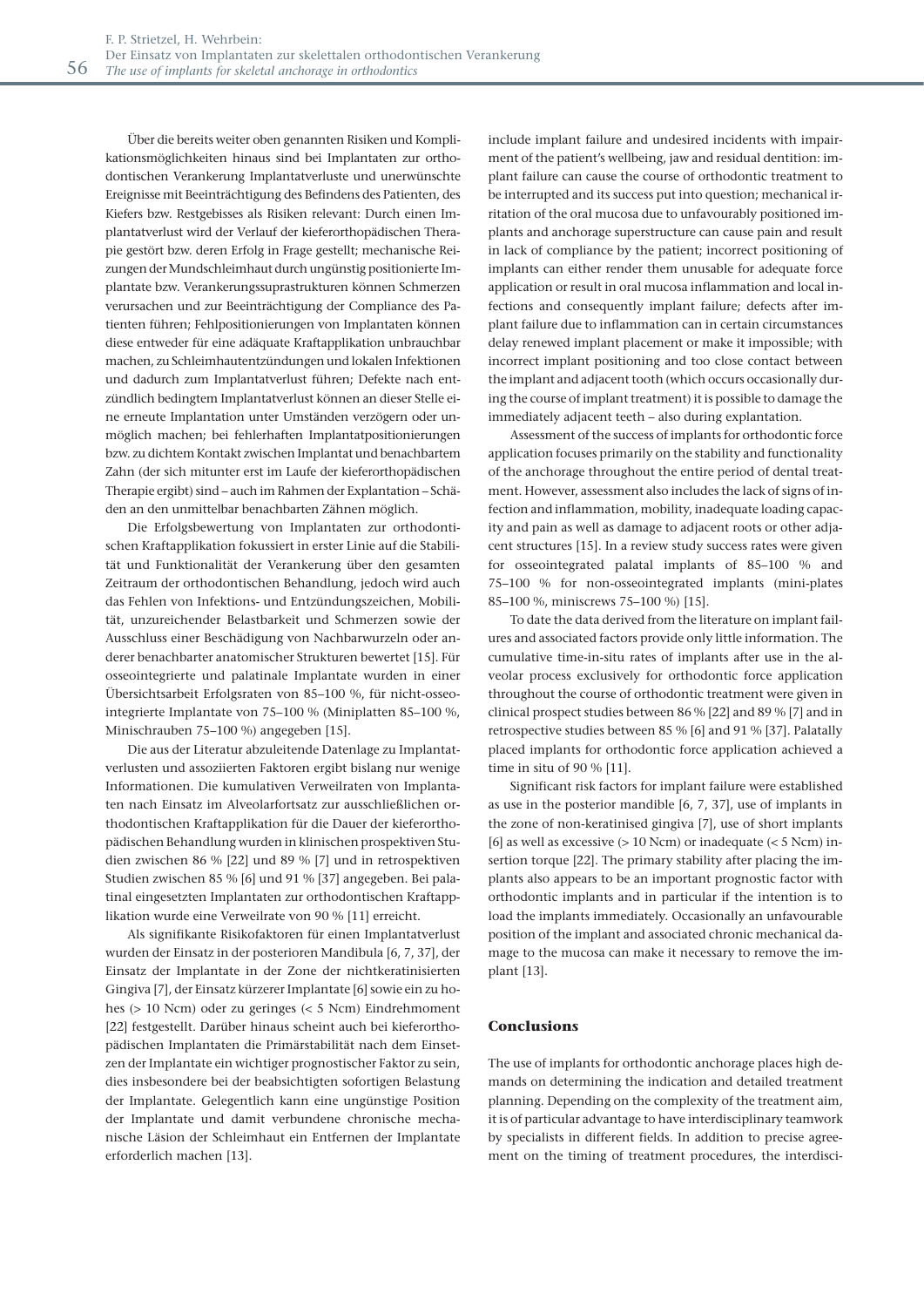Über die bereits weiter oben genannten Risiken und Komplikationsmöglichkeiten hinaus sind bei Implantaten zur orthodontischen Verankerung Implantatverluste und unerwünschte Ereignisse mit Beeinträchtigung des Befindens des Patienten, des Kiefers bzw. Restgebisses als Risiken relevant: Durch einen Implantatverlust wird der Verlauf der kieferorthopädischen Therapie gestört bzw. deren Erfolg in Frage gestellt; mechanische Reizungen der Mundschleimhaut durch ungünstig positionierte Implantate bzw. Verankerungssuprastrukturen können Schmerzen verursachen und zur Beeinträchtigung der Compliance des Patienten führen; Fehlpositionierungen von Implantaten können diese entweder für eine adäquate Kraftapplikation unbrauchbar machen, zu Schleimhautentzündungen und lokalen Infektionen und dadurch zum Implantatverlust führen; Defekte nach entzündlich bedingtem Implantatverlust können an dieser Stelle eine erneute Implantation unter Umständen verzögern oder unmöglich machen; bei fehlerhaften Implantatpositionierungen bzw. zu dichtem Kontakt zwischen Implantat und benachbartem Zahn (der sich mitunter erst im Laufe der kieferorthopädischen Therapie ergibt) sind – auch im Rahmen der Explantation – Schäden an den unmittelbar benachbarten Zähnen möglich.

Die Erfolgsbewertung von Implantaten zur orthodontischen Kraftapplikation fokussiert in erster Linie auf die Stabilität und Funktionalität der Verankerung über den gesamten Zeitraum der orthodontischen Behandlung, jedoch wird auch das Fehlen von Infektions- und Entzündungszeichen, Mobilität, unzureichender Belastbarkeit und Schmerzen sowie der Ausschluss einer Beschädigung von Nachbarwurzeln oder anderer benachbarter anatomischer Strukturen bewertet [15]. Für osseointegrierte und palatinale Implantate wurden in einer Übersichtsarbeit Erfolgsraten von 85–100 %, für nicht-osseointegrierte Implantate von 75–100 % (Miniplatten 85–100 %, Minischrauben 75–100 %) angegeben [15].

Die aus der Literatur abzuleitende Datenlage zu Implantatverlusten und assoziierten Faktoren ergibt bislang nur wenige Informationen. Die kumulativen Verweilraten von Implantaten nach Einsatz im Alveolarfortsatz zur ausschließlichen orthodontischen Kraftapplikation für die Dauer der kieferorthopädischen Behandlung wurden in klinischen prospektiven Studien zwischen 86 % [22] und 89 % [7] und in retrospektiven Studien zwischen 85 % [6] und 91 % [37] angegeben. Bei palatinal eingesetzten Implantaten zur orthodontischen Kraftapplikation wurde eine Verweilrate von 90 % [11] erreicht.

Als signifikante Risikofaktoren für einen Implantatverlust wurden der Einsatz in der posterioren Mandibula [6, 7, 37], der Einsatz der Implantate in der Zone der nichtkeratinisierten Gingiva [7], der Einsatz kürzerer Implantate [6] sowie ein zu hohes (> 10 Ncm) oder zu geringes (< 5 Ncm) Eindrehmoment [22] festgestellt. Darüber hinaus scheint auch bei kieferorthopädischen Implantaten die Primärstabilität nach dem Einsetzen der Implantate ein wichtiger prognostischer Faktor zu sein, dies insbesondere bei der beabsichtigten sofortigen Belastung der Implantate. Gelegentlich kann eine ungünstige Position der Implantate und damit verbundene chronische mechanische Läsion der Schleimhaut ein Entfernen der Implantate erforderlich machen [13].

include implant failure and undesired incidents with impairment of the patient's wellbeing, jaw and residual dentition: implant failure can cause the course of orthodontic treatment to be interrupted and its success put into question; mechanical irritation of the oral mucosa due to unfavourably positioned implants and anchorage superstructure can cause pain and result in lack of compliance by the patient; incorrect positioning of implants can either render them unusable for adequate force application or result in oral mucosa inflammation and local infections and consequently implant failure; defects after implant failure due to inflammation can in certain circumstances delay renewed implant placement or make it impossible; with incorrect implant positioning and too close contact between the implant and adjacent tooth (which occurs occasionally during the course of implant treatment) it is possible to damage the immediately adjacent teeth – also during explantation.

Assessment of the success of implants for orthodontic force application focuses primarily on the stability and functionality of the anchorage throughout the entire period of dental treatment. However, assessment also includes the lack of signs of infection and inflammation, mobility, inadequate loading capacity and pain as well as damage to adjacent roots or other adjacent structures [15]. In a review study success rates were given for osseointegrated palatal implants of 85–100 % and 75–100 % for non-osseointegrated implants (mini-plates 85–100 %, miniscrews 75–100 %) [15].

To date the data derived from the literature on implant failures and associated factors provide only little information. The cumulative time-in-situ rates of implants after use in the alveolar process exclusively for orthodontic force application throughout the course of orthodontic treatment were given in clinical prospect studies between 86 % [22] and 89 % [7] and in retrospective studies between 85 % [6] and 91 % [37]. Palatally placed implants for orthodontic force application achieved a time in situ of 90 % [11].

Significant risk factors for implant failure were established as use in the posterior mandible [6, 7, 37], use of implants in the zone of non-keratinised gingiva [7], use of short implants [6] as well as excessive  $(> 10$  Ncm) or inadequate  $(< 5$  Ncm) insertion torque [22]. The primary stability after placing the implants also appears to be an important prognostic factor with orthodontic implants and in particular if the intention is to load the implants immediately. Occasionally an unfavourable position of the implant and associated chronic mechanical damage to the mucosa can make it necessary to remove the implant [13].

#### **Conclusions**

The use of implants for orthodontic anchorage places high demands on determining the indication and detailed treatment planning. Depending on the complexity of the treatment aim, it is of particular advantage to have interdisciplinary teamwork by specialists in different fields. In addition to precise agreement on the timing of treatment procedures, the interdisci-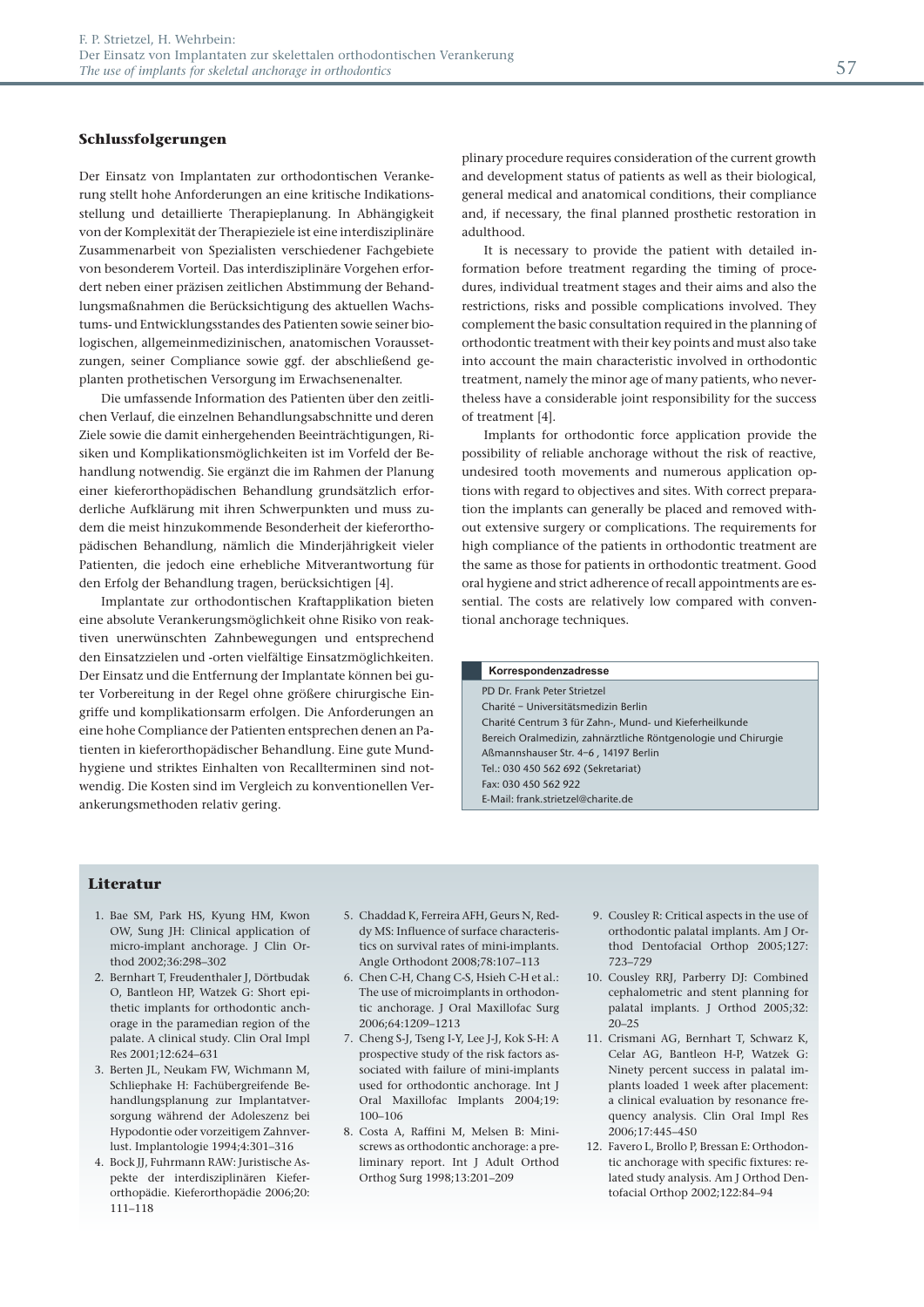#### **Schlussfolgerungen**

Der Einsatz von Implantaten zur orthodontischen Verankerung stellt hohe Anforderungen an eine kritische Indikationsstellung und detaillierte Therapieplanung. In Abhängigkeit von der Komplexität der Therapieziele ist eine interdisziplinäre Zusammenarbeit von Spezialisten verschiedener Fachgebiete von besonderem Vorteil. Das interdisziplinäre Vorgehen erfordert neben einer präzisen zeitlichen Abstimmung der Behandlungsmaßnahmen die Berücksichtigung des aktuellen Wachstums- und Entwicklungsstandes des Patienten sowie seiner biologischen, allgemeinmedizinischen, anatomischen Voraussetzungen, seiner Compliance sowie ggf. der abschließend geplanten prothetischen Versorgung im Erwachsenenalter.

Die umfassende Information des Patienten über den zeitlichen Verlauf, die einzelnen Behandlungsabschnitte und deren Ziele sowie die damit einhergehenden Beeinträchtigungen, Risiken und Komplikationsmöglichkeiten ist im Vorfeld der Behandlung notwendig. Sie ergänzt die im Rahmen der Planung einer kieferorthopädischen Behandlung grundsätzlich erforderliche Aufklärung mit ihren Schwerpunkten und muss zudem die meist hinzukommende Besonderheit der kieferorthopädischen Behandlung, nämlich die Minderjährigkeit vieler Patienten, die jedoch eine erhebliche Mitverantwortung für den Erfolg der Behandlung tragen, berücksichtigen [4].

Implantate zur orthodontischen Kraftapplikation bieten eine absolute Verankerungsmöglichkeit ohne Risiko von reaktiven unerwünschten Zahnbewegungen und entsprechend den Einsatzzielen und -orten vielfältige Einsatzmöglichkeiten. Der Einsatz und die Entfernung der Implantate können bei guter Vorbereitung in der Regel ohne größere chirurgische Eingriffe und komplikationsarm erfolgen. Die Anforderungen an eine hohe Compliance der Patienten entsprechen denen an Patienten in kieferorthopädischer Behandlung. Eine gute Mundhygiene und striktes Einhalten von Recallterminen sind notwendig. Die Kosten sind im Vergleich zu konventionellen Verankerungsmethoden relativ gering.

plinary procedure requires consideration of the current growth and development status of patients as well as their biological, general medical and anatomical conditions, their compliance and, if necessary, the final planned prosthetic restoration in adulthood.

It is necessary to provide the patient with detailed information before treatment regarding the timing of procedures, individual treatment stages and their aims and also the restrictions, risks and possible complications involved. They complement the basic consultation required in the planning of orthodontic treatment with their key points and must also take into account the main characteristic involved in orthodontic treatment, namely the minor age of many patients, who nevertheless have a considerable joint responsibility for the success of treatment [4].

Implants for orthodontic force application provide the possibility of reliable anchorage without the risk of reactive, undesired tooth movements and numerous application options with regard to objectives and sites. With correct preparation the implants can generally be placed and removed without extensive surgery or complications. The requirements for high compliance of the patients in orthodontic treatment are the same as those for patients in orthodontic treatment. Good oral hygiene and strict adherence of recall appointments are essential. The costs are relatively low compared with conventional anchorage techniques.

#### PD Dr. Frank Peter Strietzel Charité – Universitätsmedizin Berlin Charité Centrum 3 für Zahn-, Mund- und Kieferheilkunde Bereich Oralmedizin, zahnärztliche Röntgenologie und Chirurgie Aßmannshauser Str. 4–6 , 14197 Berlin Tel.: 030 450 562 692 (Sekretariat) Fax: 030 450 562 922 E-Mail: frank.strietzel@charite.de **Korrespondenzadresse**

### **Literatur**

- 1. Bae SM, Park HS, Kyung HM, Kwon OW, Sung JH: Clinical application of micro-implant anchorage. J Clin Orthod 2002;36:298–302
- 2. Bernhart T, Freudenthaler J, Dörtbudak O, Bantleon HP, Watzek G: Short epithetic implants for orthodontic anchorage in the paramedian region of the palate. A clinical study. Clin Oral Impl Res 2001;12:624–631
- 3. Berten JL, Neukam FW, Wichmann M, Schliephake H: Fachübergreifende Behandlungsplanung zur Implantatversorgung während der Adoleszenz bei Hypodontie oder vorzeitigem Zahnverlust. Implantologie 1994;4:301–316
- 4. Bock JJ, Fuhrmann RAW: Juristische Aspekte der interdisziplinären Kieferorthopädie. Kieferorthopädie 2006;20: 111–118
- 5. Chaddad K, Ferreira AFH, Geurs N, Reddy MS: Influence of surface characteristics on survival rates of mini-implants. Angle Orthodont 2008;78:107–113
- 6. Chen C-H, Chang C-S, Hsieh C-H et al.: The use of microimplants in orthodontic anchorage. J Oral Maxillofac Surg 2006;64:1209–1213
- 7. Cheng S-J, Tseng I-Y, Lee J-J, Kok S-H: A prospective study of the risk factors associated with failure of mini-implants used for orthodontic anchorage. Int J Oral Maxillofac Implants 2004;19: 100–106
- 8. Costa A, Raffini M, Melsen B: Mini screws as orthodontic anchorage: a preliminary report. Int J Adult Orthod Orthog Surg 1998;13:201–209
- 9. Cousley R: Critical aspects in the use of orthodontic palatal implants. Am J Orthod Dentofacial Orthop 2005;127: 723–729
- 10. Cousley RRJ, Parberry DJ: Combined cephalometric and stent planning for palatal implants. J Orthod 2005;32: 20–25
- 11. Crismani AG, Bernhart T, Schwarz K, Celar AG, Bantleon H-P, Watzek G: Ninety percent success in palatal implants loaded 1 week after placement: a clinical evaluation by resonance frequency analysis. Clin Oral Impl Res 2006;17:445–450
- 12. Favero L, Brollo P, Bressan E: Orthodontic anchorage with specific fixtures: related study analysis. Am J Orthod Dentofacial Orthop 2002;122:84–94